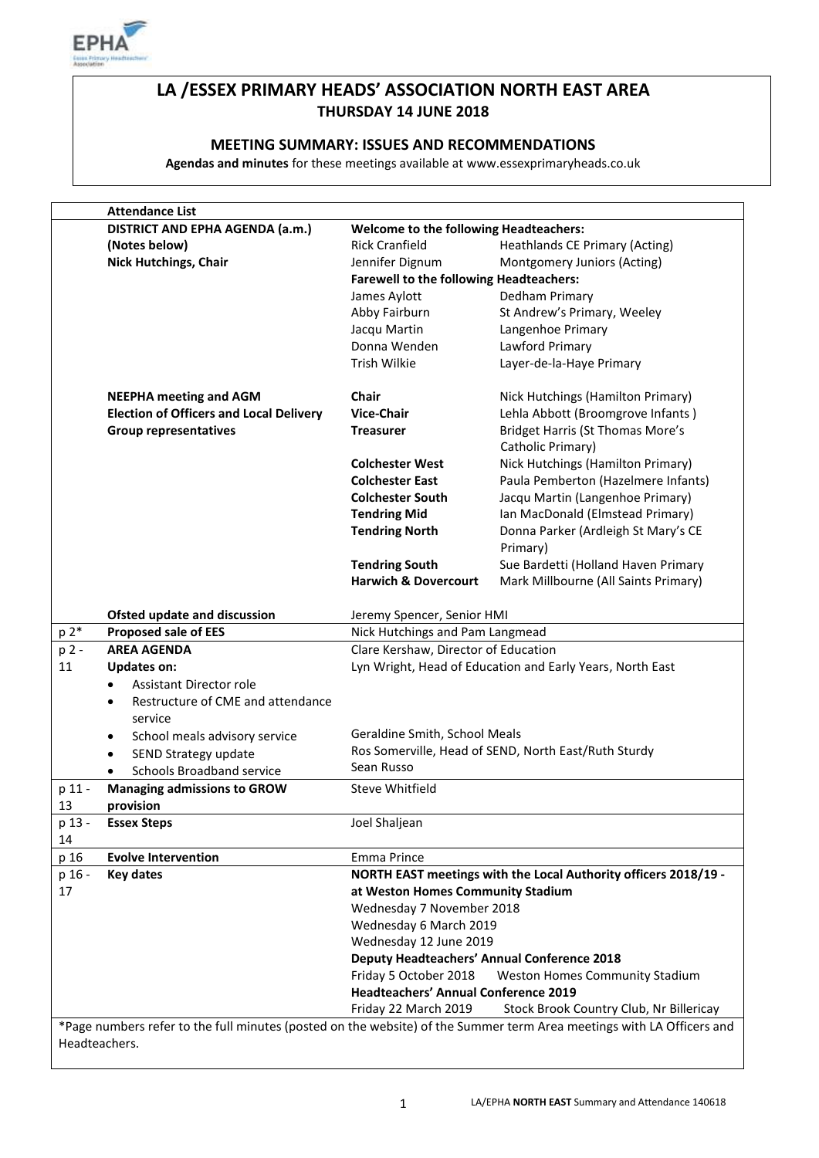

# **LA /ESSEX PRIMARY HEADS' ASSOCIATION NORTH EAST AREA THURSDAY 14 JUNE 2018**

### **MEETING SUMMARY: ISSUES AND RECOMMENDATIONS**

**Agendas and minutes** for these meetings available at www.essexprimaryheads.co.uk

|                                                                                                                       | <b>Attendance List</b>                          |                                                    |                                                                 |  |
|-----------------------------------------------------------------------------------------------------------------------|-------------------------------------------------|----------------------------------------------------|-----------------------------------------------------------------|--|
|                                                                                                                       | DISTRICT AND EPHA AGENDA (a.m.)                 | <b>Welcome to the following Headteachers:</b>      |                                                                 |  |
|                                                                                                                       | (Notes below)                                   | <b>Rick Cranfield</b>                              | <b>Heathlands CE Primary (Acting)</b>                           |  |
|                                                                                                                       | <b>Nick Hutchings, Chair</b>                    | Jennifer Dignum                                    | Montgomery Juniors (Acting)                                     |  |
|                                                                                                                       |                                                 | <b>Farewell to the following Headteachers:</b>     |                                                                 |  |
|                                                                                                                       |                                                 | James Aylott                                       | Dedham Primary                                                  |  |
|                                                                                                                       |                                                 | Abby Fairburn                                      | St Andrew's Primary, Weeley                                     |  |
|                                                                                                                       |                                                 | Jacqu Martin                                       | Langenhoe Primary                                               |  |
|                                                                                                                       |                                                 | Donna Wenden                                       | Lawford Primary                                                 |  |
|                                                                                                                       |                                                 | Trish Wilkie                                       | Layer-de-la-Haye Primary                                        |  |
|                                                                                                                       | <b>NEEPHA meeting and AGM</b>                   | <b>Chair</b>                                       | Nick Hutchings (Hamilton Primary)                               |  |
|                                                                                                                       | <b>Election of Officers and Local Delivery</b>  | <b>Vice-Chair</b>                                  | Lehla Abbott (Broomgrove Infants)                               |  |
|                                                                                                                       | <b>Group representatives</b>                    | <b>Treasurer</b>                                   | <b>Bridget Harris (St Thomas More's</b><br>Catholic Primary)    |  |
|                                                                                                                       |                                                 | <b>Colchester West</b>                             | Nick Hutchings (Hamilton Primary)                               |  |
|                                                                                                                       |                                                 | <b>Colchester East</b>                             | Paula Pemberton (Hazelmere Infants)                             |  |
|                                                                                                                       |                                                 | <b>Colchester South</b>                            | Jacqu Martin (Langenhoe Primary)                                |  |
|                                                                                                                       |                                                 | <b>Tendring Mid</b>                                | Ian MacDonald (Elmstead Primary)                                |  |
|                                                                                                                       |                                                 | <b>Tendring North</b>                              | Donna Parker (Ardleigh St Mary's CE                             |  |
|                                                                                                                       |                                                 |                                                    | Primary)                                                        |  |
|                                                                                                                       |                                                 | <b>Tendring South</b>                              | Sue Bardetti (Holland Haven Primary                             |  |
|                                                                                                                       |                                                 | <b>Harwich &amp; Dovercourt</b>                    | Mark Millbourne (All Saints Primary)                            |  |
|                                                                                                                       | Ofsted update and discussion                    | Jeremy Spencer, Senior HMI                         |                                                                 |  |
| p 2*                                                                                                                  | <b>Proposed sale of EES</b>                     | Nick Hutchings and Pam Langmead                    |                                                                 |  |
| p 2 -                                                                                                                 | <b>AREA AGENDA</b>                              | Clare Kershaw, Director of Education               |                                                                 |  |
| 11                                                                                                                    | <b>Updates on:</b>                              |                                                    | Lyn Wright, Head of Education and Early Years, North East       |  |
|                                                                                                                       | <b>Assistant Director role</b><br>$\bullet$     |                                                    |                                                                 |  |
|                                                                                                                       | Restructure of CME and attendance<br>$\bullet$  |                                                    |                                                                 |  |
|                                                                                                                       | service                                         |                                                    |                                                                 |  |
|                                                                                                                       | School meals advisory service<br>٠              | Geraldine Smith, School Meals                      |                                                                 |  |
|                                                                                                                       | SEND Strategy update<br>$\bullet$               |                                                    | Ros Somerville, Head of SEND, North East/Ruth Sturdy            |  |
|                                                                                                                       | Schools Broadband service                       | Sean Russo                                         |                                                                 |  |
| p 11 -<br>13                                                                                                          | <b>Managing admissions to GROW</b><br>provision | Steve Whitfield                                    |                                                                 |  |
| p 13 -                                                                                                                | <b>Essex Steps</b>                              | Joel Shaljean                                      |                                                                 |  |
| 14                                                                                                                    |                                                 |                                                    |                                                                 |  |
| p 16                                                                                                                  | <b>Evolve Intervention</b>                      | Emma Prince                                        |                                                                 |  |
| p 16 -                                                                                                                | <b>Key dates</b>                                |                                                    | NORTH EAST meetings with the Local Authority officers 2018/19 - |  |
| 17                                                                                                                    |                                                 | at Weston Homes Community Stadium                  |                                                                 |  |
|                                                                                                                       |                                                 | Wednesday 7 November 2018                          |                                                                 |  |
|                                                                                                                       |                                                 | Wednesday 6 March 2019                             |                                                                 |  |
|                                                                                                                       |                                                 | Wednesday 12 June 2019                             |                                                                 |  |
|                                                                                                                       |                                                 | <b>Deputy Headteachers' Annual Conference 2018</b> |                                                                 |  |
|                                                                                                                       |                                                 | Friday 5 October 2018                              | Weston Homes Community Stadium                                  |  |
|                                                                                                                       |                                                 | <b>Headteachers' Annual Conference 2019</b>        |                                                                 |  |
|                                                                                                                       |                                                 | Friday 22 March 2019                               | Stock Brook Country Club, Nr Billericay                         |  |
| *Page numbers refer to the full minutes (posted on the website) of the Summer term Area meetings with LA Officers and |                                                 |                                                    |                                                                 |  |
| Headteachers.                                                                                                         |                                                 |                                                    |                                                                 |  |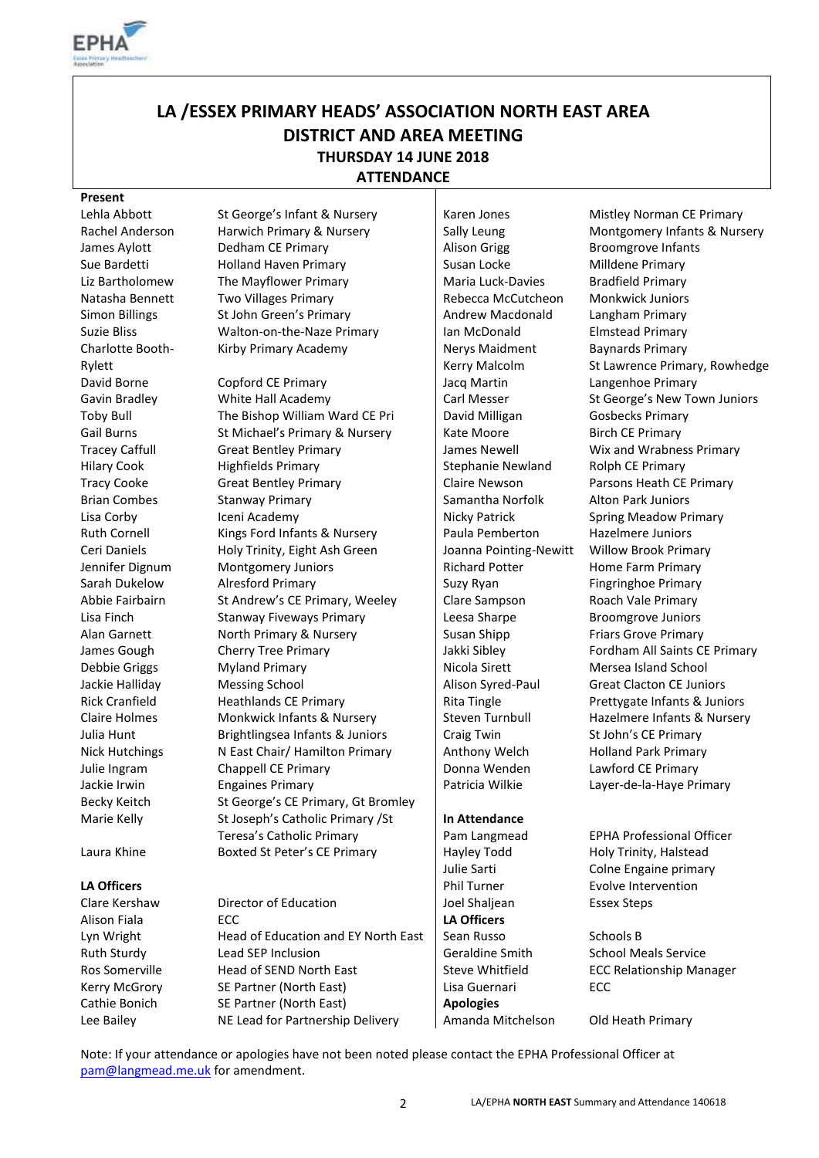

# **LA /ESSEX PRIMARY HEADS' ASSOCIATION NORTH EAST AREA DISTRICT AND AREA MEETING THURSDAY 14 JUNE 2018 ATTENDANCE**

#### **Present**

Charlotte Booth-Rylett

James Aylott Dedham CE Primary Alison Grigg Broomgrove Infants Sue Bardetti **Holland Haven Primary** Susan Locke Milldene Primary Liz Bartholomew The Mayflower Primary Naria Luck-Davies Bradfield Primary Natasha Bennett Two Villages Primary Rebecca McCutcheon Monkwick Juniors Simon Billings St John Green's Primary Andrew Macdonald Langham Primary Suzie Bliss **Suzie Bliss** Walton-on-the-Naze Primary **Ian McDonald** Elmstead Primary Kirby Primary Academy Nerys Maidment

David Borne Copford CE Primary Jacq Martin Langenhoe Primary Gavin Bradley **White Hall Academy** Carl Messer St George's New Town Juniors Toby Bull The Bishop William Ward CE Pri David Milligan Gosbecks Primary Gail Burns St Michael's Primary & Nursery Rate Moore Birch CE Primary St Michael's Primary & Nursery Rate Moore<br>Tracev Caffull Great Bentlev Primary James Newell Wix and Wrabne Tracey Caffull Great Bentley Primary **James Newell** Wix and Wrabness Primary Hilary Cook Highfields Primary Stephanie Newland Rolph CE Primary Tracy Cooke Great Bentley Primary Claire Newson Parsons Heath CE Primary Brian Combes Stanway Primary Stanway Stanway Stanway Stanway Stanway Stanway Stanway Stanway Stanway Stanway S Lisa Corby **Iceni Academy Icentificate Corporation** Nicky Patrick Spring Meadow Primary Ruth Cornell Kings Ford Infants & Nursery Paula Pemberton Hazelmere Juniors Ceri Daniels **Holy Trinity, Eight Ash Green** Joanna Pointing-Newitt Willow Brook Primary Jennifer Dignum Montgomery Juniors Richard Potter Home Farm Primary Sarah Dukelow Alresford Primary Nilliam Suzy Ryan Fingringhoe Primary Abbie Fairbairn St Andrew's CE Primary, Weeley | Clare Sampson Roach Vale Primary Lisa Finch Stanway Fiveways Primary Leesa Sharpe Broomgrove Juniors Alan Garnett **North Primary & Nursery Susan Shipp** Friars Grove Primary James Gough Cherry Tree Primary **Jakki Sibley** Fordham All Saints CE Primary Debbie Griggs Myland Primary Nicola Sirett Mersea Island School Jackie Halliday Messing School Messing School Alison Syred-Paul Great Clacton CE Juniors Rick Cranfield **Heathlands CE Primary** Rita Tingle **Rick Cranfield** Prettygate Infants & Juniors Claire Holmes Monkwick Infants & Nursery Steven Turnbull Hazelmere Infants & Nursery Julia Hunt **Brightlingsea Infants & Juniors** Craig Twin St John's CE Primary Nick Hutchings Nicast Chair/ Hamilton Primary Anthony Welch Holland Park Primary Julie Ingram Chappell CE Primary Donna Wenden Lawford CE Primary Jackie Irwin Engaines Primary Patricia Wilkie Layer-de-la-Haye Primary Becky Keitch St George's CE Primary, Gt Bromley Marie Kelly St Joseph's Catholic Primary / St Teresa's Catholic Primary Laura Khine **Boxted St Peter's CE Primary** Hayley Todd Holy Trinity, Halstead

Clare Kershaw Director of Education Joel Shaljean Essex Steps Alison Fiala **LA Officers LA Officers** Lyn Wright **Head of Education and EY North East** Sean Russo Schools B Ruth Sturdy **Lead SEP Inclusion** Geraldine Smith School Meals Service Ros Somerville Head of SEND North East Steve Whitfield ECC Relationship Manager Kerry McGrory SE Partner (North East) Lisa Guernari ECC Cathie Bonich SE Partner (North East) **Apologies** Lee Bailey **NE Lead for Partnership Delivery** | Amanda Mitchelson Old Heath Primary

Kerry Malcolm

#### **In Attendance**

Lehla Abbott St George's Infant & Nursery Staten Jones Mistley Norman CE Primary Rachel Anderson Harwich Primary & Nursery Sally Leung Montgomery Infants & Nursery Baynards Primary St Lawrence Primary, Rowhedge

Pam Langmead EPHA Professional Officer Julie Sarti Colne Engaine primary **LA Officers Phil Turner** Evolve Intervention

Note: If your attendance or apologies have not been noted please contact the EPHA Professional Officer at [pam@langmead.me.uk](mailto:pam@langmead.me.uk) for amendment.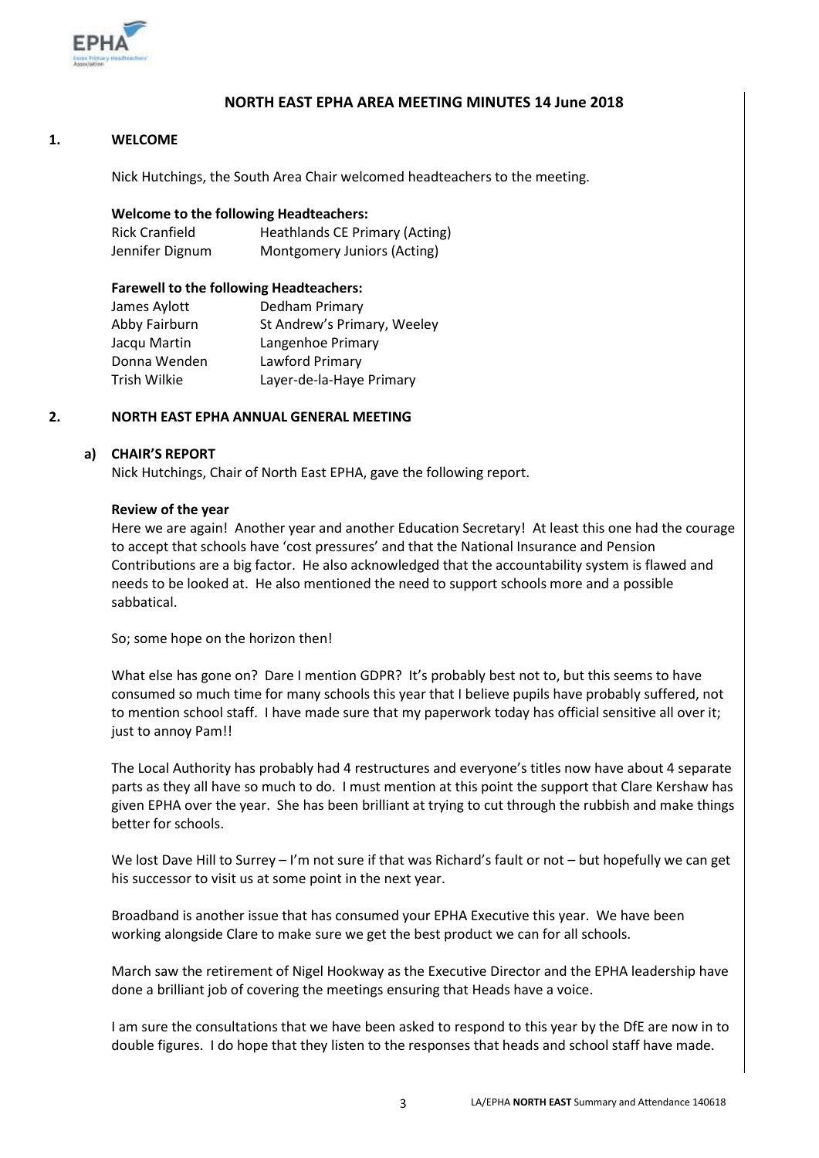

### **NORTH EAST EPHA AREA MEETING MINUTES 14 June 2018**

#### **1. WELCOME**

Nick Hutchings, the South Area Chair welcomed headteachers to the meeting.

#### **Welcome to the following Headteachers:**

| Rick Cranfield  | <b>Heathlands CE Primary (Acting)</b> |
|-----------------|---------------------------------------|
| Jennifer Dignum | Montgomery Juniors (Acting)           |

#### **Farewell to the following Headteachers:**

| James Aylott  | Dedham Primary              |
|---------------|-----------------------------|
| Abby Fairburn | St Andrew's Primary, Weeley |
| Jacqu Martin  | Langenhoe Primary           |
| Donna Wenden  | Lawford Primary             |
| Trish Wilkie  | Layer-de-la-Haye Primary    |
|               |                             |

#### **2. NORTH EAST EPHA ANNUAL GENERAL MEETING**

#### **a) CHAIR'S REPORT**

Nick Hutchings, Chair of North East EPHA, gave the following report.

#### **Review of the year**

Here we are again! Another year and another Education Secretary! At least this one had the courage to accept that schools have 'cost pressures' and that the National Insurance and Pension Contributions are a big factor. He also acknowledged that the accountability system is flawed and needs to be looked at. He also mentioned the need to support schools more and a possible sabbatical.

So; some hope on the horizon then!

What else has gone on? Dare I mention GDPR? It's probably best not to, but this seems to have consumed so much time for many schools this year that I believe pupils have probably suffered, not to mention school staff. I have made sure that my paperwork today has official sensitive all over it; just to annoy Pam!!

The Local Authority has probably had 4 restructures and everyone's titles now have about 4 separate parts as they all have so much to do. I must mention at this point the support that Clare Kershaw has given EPHA over the year. She has been brilliant at trying to cut through the rubbish and make things better for schools.

We lost Dave Hill to Surrey – I'm not sure if that was Richard's fault or not – but hopefully we can get his successor to visit us at some point in the next year.

Broadband is another issue that has consumed your EPHA Executive this year. We have been working alongside Clare to make sure we get the best product we can for all schools.

March saw the retirement of Nigel Hookway as the Executive Director and the EPHA leadership have done a brilliant job of covering the meetings ensuring that Heads have a voice.

I am sure the consultations that we have been asked to respond to this year by the DfE are now in to double figures. I do hope that they listen to the responses that heads and school staff have made.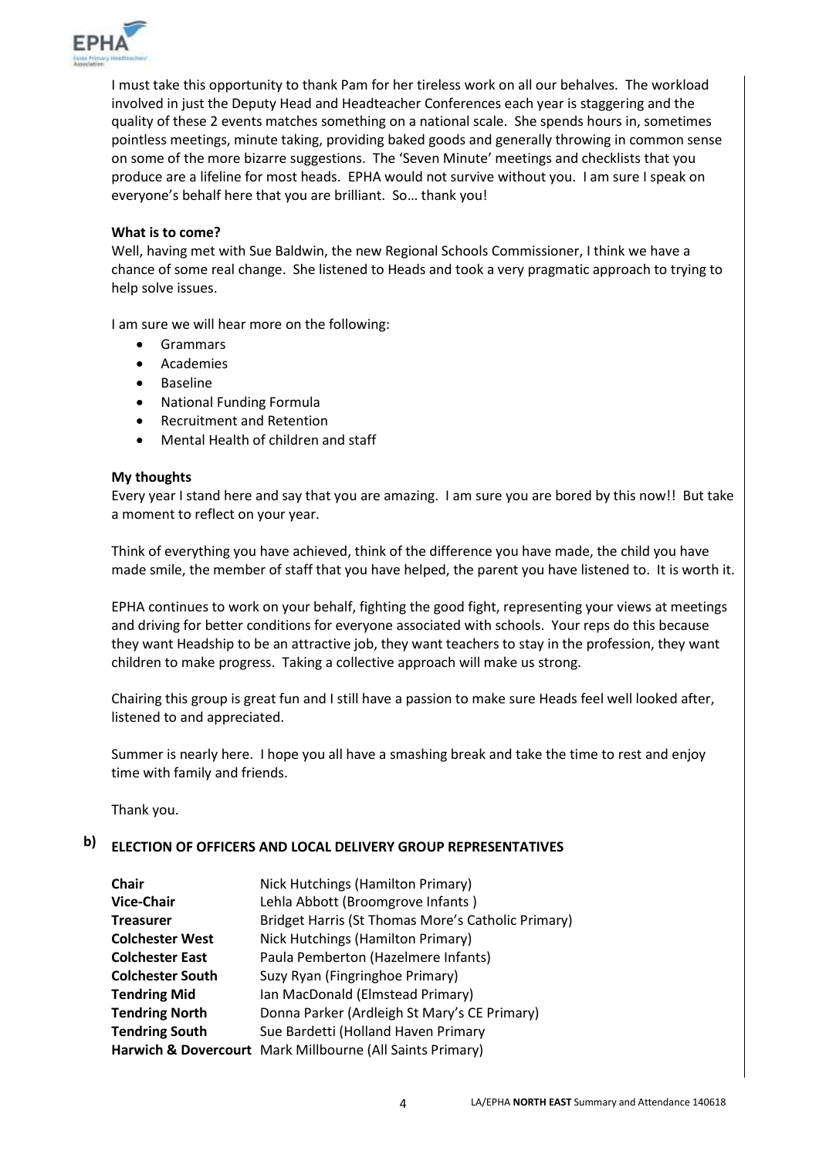

I must take this opportunity to thank Pam for her tireless work on all our behalves. The workload involved in just the Deputy Head and Headteacher Conferences each year is staggering and the quality of these 2 events matches something on a national scale. She spends hours in, sometimes pointless meetings, minute taking, providing baked goods and generally throwing in common sense on some of the more bizarre suggestions. The 'Seven Minute' meetings and checklists that you produce are a lifeline for most heads. EPHA would not survive without you. I am sure I speak on everyone's behalf here that you are brilliant. So… thank you!

#### **What is to come?**

Well, having met with Sue Baldwin, the new Regional Schools Commissioner, I think we have a chance of some real change. She listened to Heads and took a very pragmatic approach to trying to help solve issues.

I am sure we will hear more on the following:

- Grammars
- Academies
- Baseline
- National Funding Formula
- Recruitment and Retention
- Mental Health of children and staff

#### **My thoughts**

Every year I stand here and say that you are amazing. I am sure you are bored by this now!! But take a moment to reflect on your year.

Think of everything you have achieved, think of the difference you have made, the child you have made smile, the member of staff that you have helped, the parent you have listened to. It is worth it.

EPHA continues to work on your behalf, fighting the good fight, representing your views at meetings and driving for better conditions for everyone associated with schools. Your reps do this because they want Headship to be an attractive job, they want teachers to stay in the profession, they want children to make progress. Taking a collective approach will make us strong.

Chairing this group is great fun and I still have a passion to make sure Heads feel well looked after, listened to and appreciated.

Summer is nearly here. I hope you all have a smashing break and take the time to rest and enjoy time with family and friends.

Thank you.

#### **b) ELECTION OF OFFICERS AND LOCAL DELIVERY GROUP REPRESENTATIVES**

| <b>Chair</b>            | Nick Hutchings (Hamilton Primary)                         |
|-------------------------|-----------------------------------------------------------|
| <b>Vice-Chair</b>       | Lehla Abbott (Broomgrove Infants)                         |
| <b>Treasurer</b>        | Bridget Harris (St Thomas More's Catholic Primary)        |
| <b>Colchester West</b>  | Nick Hutchings (Hamilton Primary)                         |
| <b>Colchester East</b>  | Paula Pemberton (Hazelmere Infants)                       |
| <b>Colchester South</b> | Suzy Ryan (Fingringhoe Primary)                           |
| <b>Tendring Mid</b>     | Ian MacDonald (Elmstead Primary)                          |
| <b>Tendring North</b>   | Donna Parker (Ardleigh St Mary's CE Primary)              |
| <b>Tendring South</b>   | Sue Bardetti (Holland Haven Primary                       |
|                         | Harwich & Dovercourt Mark Millbourne (All Saints Primary) |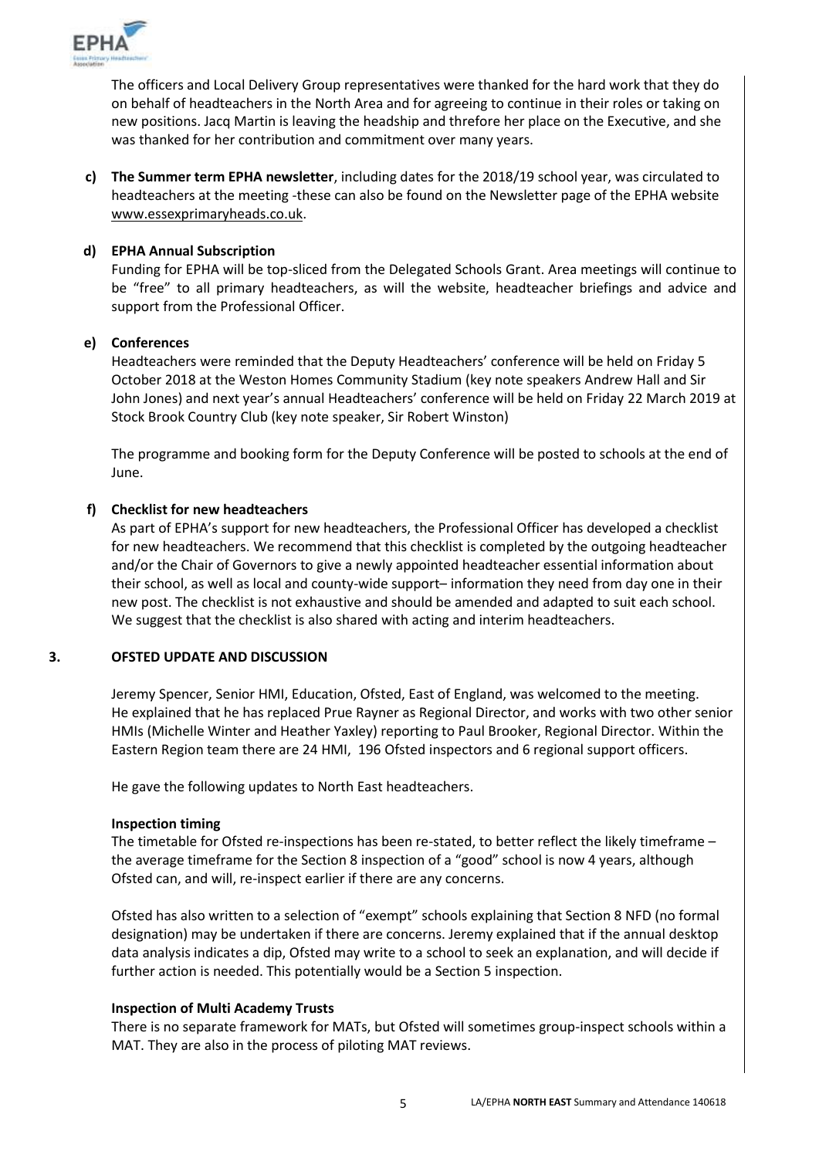

The officers and Local Delivery Group representatives were thanked for the hard work that they do on behalf of headteachers in the North Area and for agreeing to continue in their roles or taking on new positions. Jacq Martin is leaving the headship and threfore her place on the Executive, and she was thanked for her contribution and commitment over many years.

**c) The Summer term EPHA newsletter**, including dates for the 2018/19 school year, was circulated to headteachers at the meeting -these can also be found on the Newsletter page of the EPHA website [www.essexprimaryheads.co.uk.](http://www.essexprimaryheads.co.uk/)

### **d) EPHA Annual Subscription**

Funding for EPHA will be top-sliced from the Delegated Schools Grant. Area meetings will continue to be "free" to all primary headteachers, as will the website, headteacher briefings and advice and support from the Professional Officer.

#### **e) Conferences**

Headteachers were reminded that the Deputy Headteachers' conference will be held on Friday 5 October 2018 at the Weston Homes Community Stadium (key note speakers Andrew Hall and Sir John Jones) and next year's annual Headteachers' conference will be held on Friday 22 March 2019 at Stock Brook Country Club (key note speaker, Sir Robert Winston)

The programme and booking form for the Deputy Conference will be posted to schools at the end of June.

#### **f) Checklist for new headteachers**

As part of EPHA's support for new headteachers, the Professional Officer has developed a checklist for new headteachers. We recommend that this checklist is completed by the outgoing headteacher and/or the Chair of Governors to give a newly appointed headteacher essential information about their school, as well as local and county-wide support– information they need from day one in their new post. The checklist is not exhaustive and should be amended and adapted to suit each school. We suggest that the checklist is also shared with acting and interim headteachers.

#### **3. OFSTED UPDATE AND DISCUSSION**

Jeremy Spencer, Senior HMI, Education, Ofsted, East of England, was welcomed to the meeting. He explained that he has replaced Prue Rayner as Regional Director, and works with two other senior HMIs (Michelle Winter and Heather Yaxley) reporting to Paul Brooker, Regional Director. Within the Eastern Region team there are 24 HMI, 196 Ofsted inspectors and 6 regional support officers.

He gave the following updates to North East headteachers.

#### **Inspection timing**

The timetable for Ofsted re-inspections has been re-stated, to better reflect the likely timeframe – the average timeframe for the Section 8 inspection of a "good" school is now 4 years, although Ofsted can, and will, re-inspect earlier if there are any concerns.

Ofsted has also written to a selection of "exempt" schools explaining that Section 8 NFD (no formal designation) may be undertaken if there are concerns. Jeremy explained that if the annual desktop data analysis indicates a dip, Ofsted may write to a school to seek an explanation, and will decide if further action is needed. This potentially would be a Section 5 inspection.

#### **Inspection of Multi Academy Trusts**

There is no separate framework for MATs, but Ofsted will sometimes group-inspect schools within a MAT. They are also in the process of piloting MAT reviews.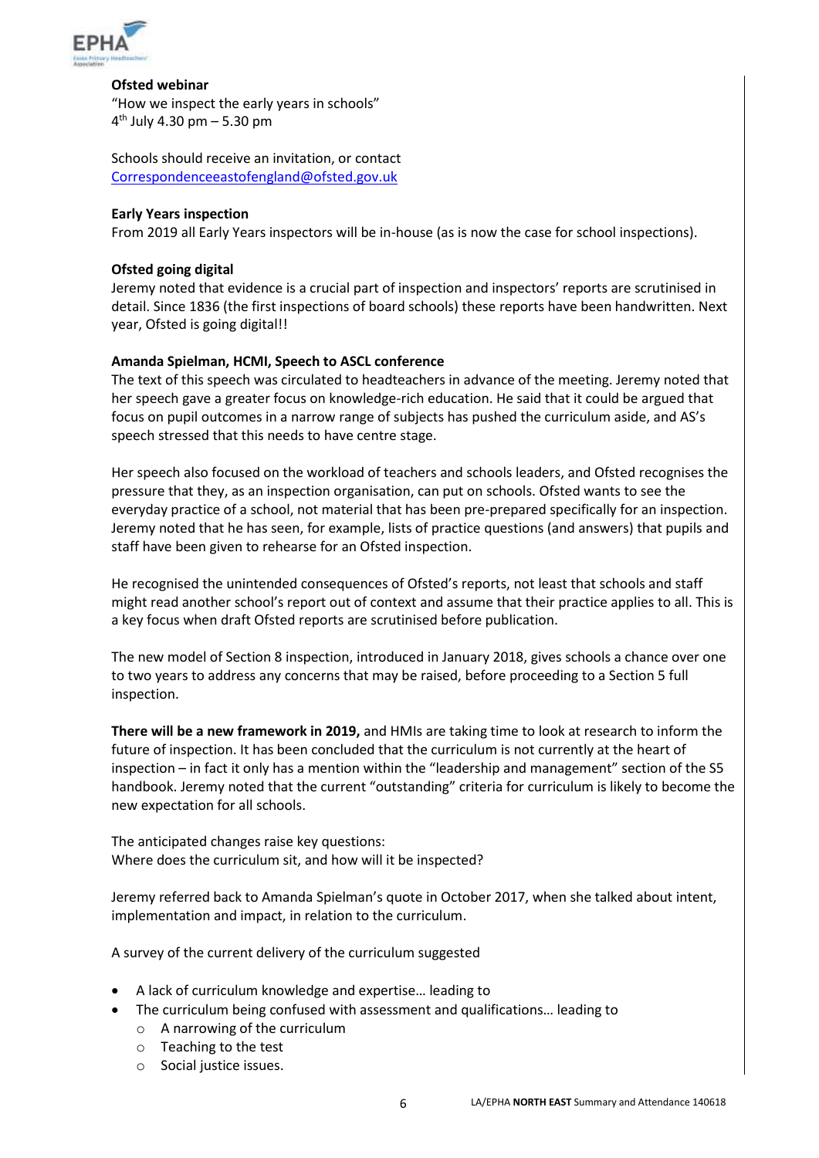

#### **Ofsted webinar**

"How we inspect the early years in schools" 4 th July 4.30 pm – 5.30 pm

Schools should receive an invitation, or contact [Correspondenceeastofengland@ofsted.gov.uk](mailto:Correspondenceeastofengland@ofsted.gov.uk)

#### **Early Years inspection**

From 2019 all Early Years inspectors will be in-house (as is now the case for school inspections).

#### **Ofsted going digital**

Jeremy noted that evidence is a crucial part of inspection and inspectors' reports are scrutinised in detail. Since 1836 (the first inspections of board schools) these reports have been handwritten. Next year, Ofsted is going digital!!

#### **Amanda Spielman, HCMI, Speech to ASCL conference**

The text of this speech was circulated to headteachers in advance of the meeting. Jeremy noted that her speech gave a greater focus on knowledge-rich education. He said that it could be argued that focus on pupil outcomes in a narrow range of subjects has pushed the curriculum aside, and AS's speech stressed that this needs to have centre stage.

Her speech also focused on the workload of teachers and schools leaders, and Ofsted recognises the pressure that they, as an inspection organisation, can put on schools. Ofsted wants to see the everyday practice of a school, not material that has been pre-prepared specifically for an inspection. Jeremy noted that he has seen, for example, lists of practice questions (and answers) that pupils and staff have been given to rehearse for an Ofsted inspection.

He recognised the unintended consequences of Ofsted's reports, not least that schools and staff might read another school's report out of context and assume that their practice applies to all. This is a key focus when draft Ofsted reports are scrutinised before publication.

The new model of Section 8 inspection, introduced in January 2018, gives schools a chance over one to two years to address any concerns that may be raised, before proceeding to a Section 5 full inspection.

**There will be a new framework in 2019,** and HMIs are taking time to look at research to inform the future of inspection. It has been concluded that the curriculum is not currently at the heart of inspection – in fact it only has a mention within the "leadership and management" section of the S5 handbook. Jeremy noted that the current "outstanding" criteria for curriculum is likely to become the new expectation for all schools.

The anticipated changes raise key questions: Where does the curriculum sit, and how will it be inspected?

Jeremy referred back to Amanda Spielman's quote in October 2017, when she talked about intent, implementation and impact, in relation to the curriculum.

A survey of the current delivery of the curriculum suggested

- A lack of curriculum knowledge and expertise… leading to
	- The curriculum being confused with assessment and qualifications… leading to
		- o A narrowing of the curriculum
		- o Teaching to the test
		- o Social justice issues.